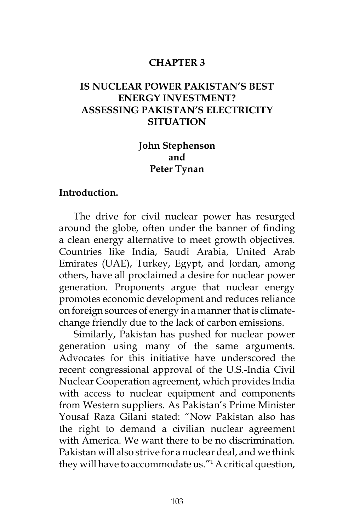#### **CHAPTER 3**

## **IS NUCLEAR POWER PAKISTAN'S BEST ENERGY INVESTMENT? ASSESSING PAKISTAN'S ELECTRICITY SITUATION**

## **John Stephenson and Peter Tynan**

#### **Introduction.**

The drive for civil nuclear power has resurged around the globe, often under the banner of finding a clean energy alternative to meet growth objectives. Countries like India, Saudi Arabia, United Arab Emirates (UAE), Turkey, Egypt, and Jordan, among others, have all proclaimed a desire for nuclear power generation. Proponents argue that nuclear energy promotes economic development and reduces reliance on foreign sources of energy in a manner that is climatechange friendly due to the lack of carbon emissions.

Similarly, Pakistan has pushed for nuclear power generation using many of the same arguments. Advocates for this initiative have underscored the recent congressional approval of the U.S.-India Civil Nuclear Cooperation agreement, which provides India with access to nuclear equipment and components from Western suppliers. As Pakistan's Prime Minister Yousaf Raza Gilani stated: "Now Pakistan also has the right to demand a civilian nuclear agreement with America. We want there to be no discrimination. Pakistan will also strive for a nuclear deal, and we think they will have to accommodate us."1 A critical question,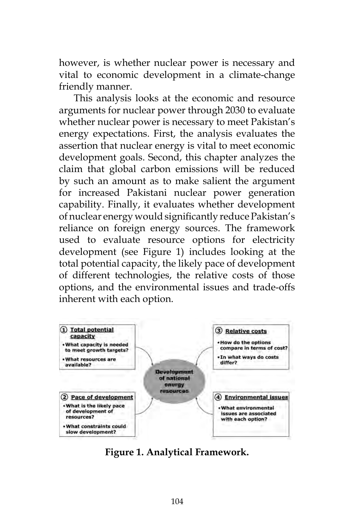however, is whether nuclear power is necessary and vital to economic development in a climate-change friendly manner.

This analysis looks at the economic and resource arguments for nuclear power through 2030 to evaluate whether nuclear power is necessary to meet Pakistan's energy expectations. First, the analysis evaluates the assertion that nuclear energy is vital to meet economic development goals. Second, this chapter analyzes the claim that global carbon emissions will be reduced by such an amount as to make salient the argument for increased Pakistani nuclear power generation capability. Finally, it evaluates whether development of nuclear energy would significantly reduce Pakistan's reliance on foreign energy sources. The framework used to evaluate resource options for electricity development (see Figure 1) includes looking at the total potential capacity, the likely pace of development of different technologies, the relative costs of those options, and the environmental issues and trade-offs inherent with each option.



**Figure 1. Analytical Framework.**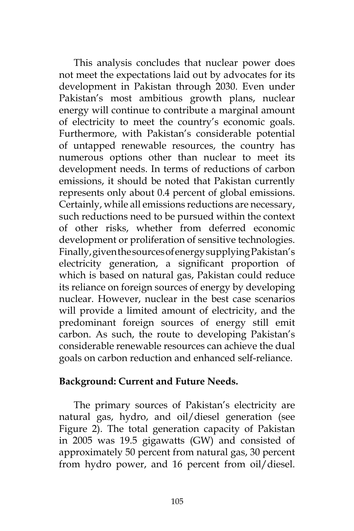This analysis concludes that nuclear power does not meet the expectations laid out by advocates for its development in Pakistan through 2030. Even under Pakistan's most ambitious growth plans, nuclear energy will continue to contribute a marginal amount of electricity to meet the country's economic goals. Furthermore, with Pakistan's considerable potential of untapped renewable resources, the country has numerous options other than nuclear to meet its development needs. In terms of reductions of carbon emissions, it should be noted that Pakistan currently represents only about 0.4 percent of global emissions. Certainly, while all emissions reductions are necessary, such reductions need to be pursued within the context of other risks, whether from deferred economic development or proliferation of sensitive technologies. Finally, given the sources of energy supplying Pakistan's electricity generation, a significant proportion of which is based on natural gas, Pakistan could reduce its reliance on foreign sources of energy by developing nuclear. However, nuclear in the best case scenarios will provide a limited amount of electricity, and the predominant foreign sources of energy still emit carbon. As such, the route to developing Pakistan's considerable renewable resources can achieve the dual goals on carbon reduction and enhanced self-reliance.

#### **Background: Current and Future Needs.**

The primary sources of Pakistan's electricity are natural gas, hydro, and oil/diesel generation (see Figure 2). The total generation capacity of Pakistan in 2005 was 19.5 gigawatts (GW) and consisted of approximately 50 percent from natural gas, 30 percent from hydro power, and 16 percent from oil/diesel.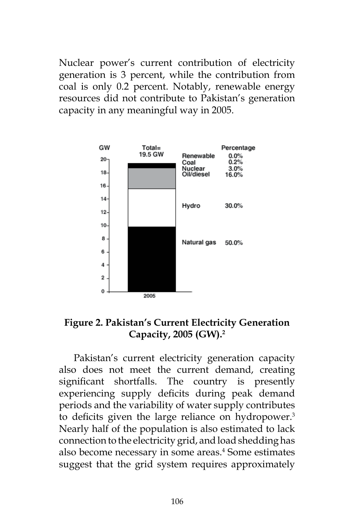Nuclear power's current contribution of electricity generation is 3 percent, while the contribution from coal is only 0.2 percent. Notably, renewable energy resources did not contribute to Pakistan's generation capacity in any meaningful way in 2005.



**Figure 2. Pakistan's Current Electricity Generation Capacity, 2005 (GW).2**

Pakistan's current electricity generation capacity also does not meet the current demand, creating significant shortfalls. The country is presently experiencing supply deficits during peak demand periods and the variability of water supply contributes to deficits given the large reliance on hydropower.<sup>3</sup> Nearly half of the population is also estimated to lack connection to the electricity grid, and load shedding has also become necessary in some areas.<sup>4</sup> Some estimates suggest that the grid system requires approximately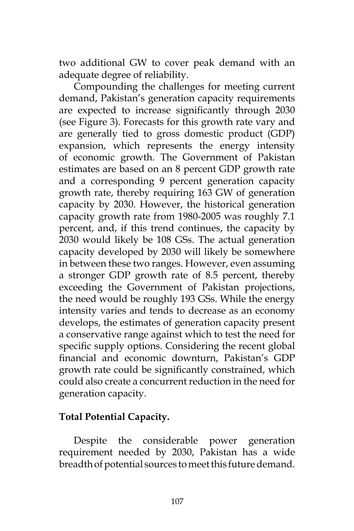two additional GW to cover peak demand with an adequate degree of reliability.

Compounding the challenges for meeting current demand, Pakistan's generation capacity requirements are expected to increase significantly through 2030 (see Figure 3). Forecasts for this growth rate vary and are generally tied to gross domestic product (GDP) expansion, which represents the energy intensity of economic growth. The Government of Pakistan estimates are based on an 8 percent GDP growth rate and a corresponding 9 percent generation capacity growth rate, thereby requiring 163 GW of generation capacity by 2030. However, the historical generation capacity growth rate from 1980-2005 was roughly 7.1 percent, and, if this trend continues, the capacity by 2030 would likely be 108 GSs. The actual generation capacity developed by 2030 will likely be somewhere in between these two ranges. However, even assuming a stronger GDP growth rate of 8.5 percent, thereby exceeding the Government of Pakistan projections, the need would be roughly 193 GSs. While the energy intensity varies and tends to decrease as an economy develops, the estimates of generation capacity present a conservative range against which to test the need for specific supply options. Considering the recent global financial and economic downturn, Pakistan's GDP growth rate could be significantly constrained, which could also create a concurrent reduction in the need for generation capacity.

## **Total Potential Capacity.**

Despite the considerable power generation requirement needed by 2030, Pakistan has a wide breadth of potential sources to meet this future demand.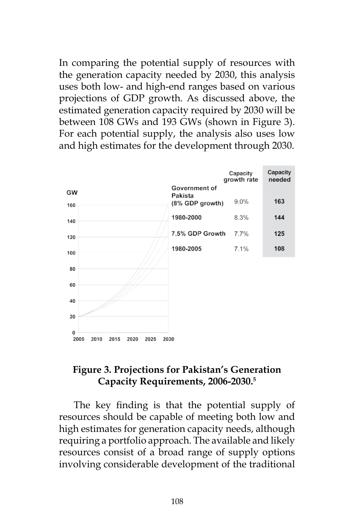In comparing the potential supply of resources with the generation capacity needed by 2030, this analysis uses both low- and high-end ranges based on various projections of GDP growth. As discussed above, the estimated generation capacity required by 2030 will be between 108 GWs and 193 GWs (shown in Figure 3). For each potential supply, the analysis also uses low and high estimates for the development through 2030.



## **Figure 3. Projections for Pakistan's Generation Capacity Requirements, 2006-2030.5**

The key finding is that the potential supply of resources should be capable of meeting both low and high estimates for generation capacity needs, although requiring a portfolio approach. The available and likely resources consist of a broad range of supply options involving considerable development of the traditional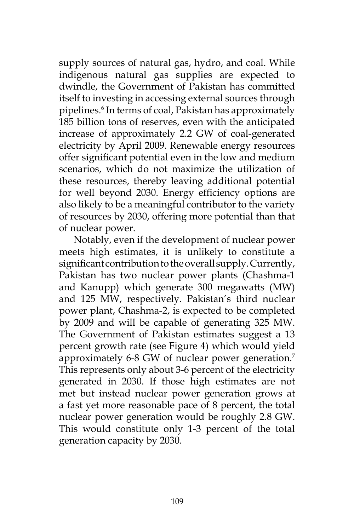supply sources of natural gas, hydro, and coal. While indigenous natural gas supplies are expected to dwindle, the Government of Pakistan has committed itself to investing in accessing external sources through pipelines.6 In terms of coal, Pakistan has approximately 185 billion tons of reserves, even with the anticipated increase of approximately 2.2 GW of coal-generated electricity by April 2009. Renewable energy resources offer significant potential even in the low and medium scenarios, which do not maximize the utilization of these resources, thereby leaving additional potential for well beyond 2030. Energy efficiency options are also likely to be a meaningful contributor to the variety of resources by 2030, offering more potential than that of nuclear power.

Notably, even if the development of nuclear power meets high estimates, it is unlikely to constitute a significant contribution to the overall supply. Currently, Pakistan has two nuclear power plants (Chashma-1 and Kanupp) which generate 300 megawatts (MW) and 125 MW, respectively. Pakistan's third nuclear power plant, Chashma-2, is expected to be completed by 2009 and will be capable of generating 325 MW. The Government of Pakistan estimates suggest a 13 percent growth rate (see Figure 4) which would yield approximately 6-8 GW of nuclear power generation.<sup>7</sup> This represents only about 3-6 percent of the electricity generated in 2030. If those high estimates are not met but instead nuclear power generation grows at a fast yet more reasonable pace of 8 percent, the total nuclear power generation would be roughly 2.8 GW. This would constitute only 1-3 percent of the total generation capacity by 2030.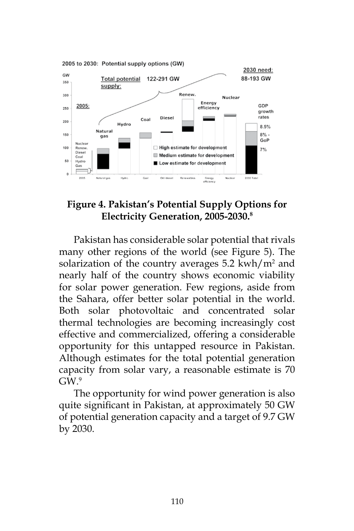

## **Figure 4. Pakistan's Potential Supply Options for Electricity Generation, 2005-2030.8**

Pakistan has considerable solar potential that rivals many other regions of the world (see Figure 5). The solarization of the country averages  $5.2 \text{ km/h}$  and nearly half of the country shows economic viability for solar power generation. Few regions, aside from the Sahara, offer better solar potential in the world. Both solar photovoltaic and concentrated solar thermal technologies are becoming increasingly cost effective and commercialized, offering a considerable opportunity for this untapped resource in Pakistan. Although estimates for the total potential generation capacity from solar vary, a reasonable estimate is 70  $GW<sup>9</sup>$ 

The opportunity for wind power generation is also quite significant in Pakistan, at approximately 50 GW of potential generation capacity and a target of 9.7 GW by 2030.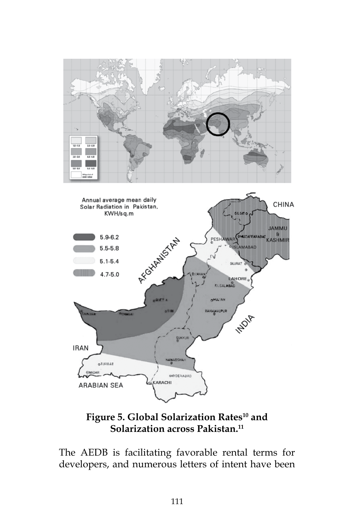

Figure 5. Global Solarization Rates<sup>10</sup> and **Solarization across Pakistan.11**

**SUKKUR** 

OREAABAD

KARACHI

**IRAN** 

**oTURBAT** 

**ARABIAN SEA** 

The AEDB is facilitating favorable rental terms for developers, and numerous letters of intent have been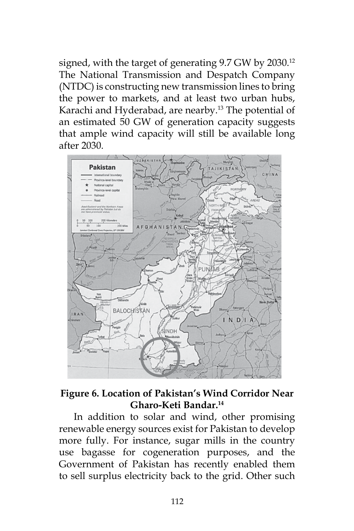signed, with the target of generating 9.7 GW by 2030.<sup>12</sup> The National Transmission and Despatch Company (NTDC) is constructing new transmission lines to bring the power to markets, and at least two urban hubs, Karachi and Hyderabad, are nearby.<sup>13</sup> The potential of an estimated 50 GW of generation capacity suggests that ample wind capacity will still be available long after 2030.



# **Figure 6. Location of Pakistan's Wind Corridor Near Gharo-Keti Bandar.14**

In addition to solar and wind, other promising renewable energy sources exist for Pakistan to develop more fully. For instance, sugar mills in the country use bagasse for cogeneration purposes, and the Government of Pakistan has recently enabled them to sell surplus electricity back to the grid. Other such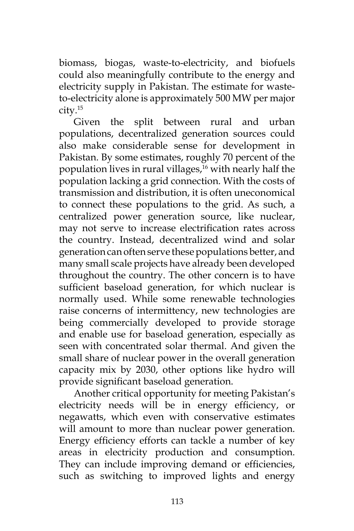biomass, biogas, waste-to-electricity, and biofuels could also meaningfully contribute to the energy and electricity supply in Pakistan. The estimate for wasteto-electricity alone is approximately 500 MW per major city.15

Given the split between rural and urban populations, decentralized generation sources could also make considerable sense for development in Pakistan. By some estimates, roughly 70 percent of the population lives in rural villages,<sup>16</sup> with nearly half the population lacking a grid connection. With the costs of transmission and distribution, it is often uneconomical to connect these populations to the grid. As such, a centralized power generation source, like nuclear, may not serve to increase electrification rates across the country. Instead, decentralized wind and solar generation can often serve these populations better, and many small scale projects have already been developed throughout the country. The other concern is to have sufficient baseload generation, for which nuclear is normally used. While some renewable technologies raise concerns of intermittency, new technologies are being commercially developed to provide storage and enable use for baseload generation, especially as seen with concentrated solar thermal. And given the small share of nuclear power in the overall generation capacity mix by 2030, other options like hydro will provide significant baseload generation.

Another critical opportunity for meeting Pakistan's electricity needs will be in energy efficiency, or negawatts, which even with conservative estimates will amount to more than nuclear power generation. Energy efficiency efforts can tackle a number of key areas in electricity production and consumption. They can include improving demand or efficiencies, such as switching to improved lights and energy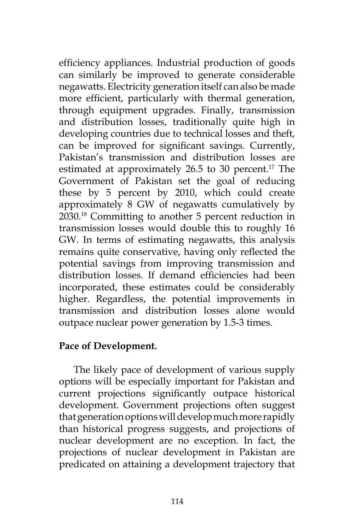efficiency appliances. Industrial production of goods can similarly be improved to generate considerable negawatts. Electricity generation itself can also be made more efficient, particularly with thermal generation, through equipment upgrades. Finally, transmission and distribution losses, traditionally quite high in developing countries due to technical losses and theft, can be improved for significant savings. Currently, Pakistan's transmission and distribution losses are estimated at approximately  $26.5$  to 30 percent.<sup>17</sup> The Government of Pakistan set the goal of reducing these by 5 percent by 2010, which could create approximately 8 GW of negawatts cumulatively by 2030.18 Committing to another 5 percent reduction in transmission losses would double this to roughly 16 GW. In terms of estimating negawatts, this analysis remains quite conservative, having only reflected the potential savings from improving transmission and distribution losses. If demand efficiencies had been incorporated, these estimates could be considerably higher. Regardless, the potential improvements in transmission and distribution losses alone would outpace nuclear power generation by 1.5-3 times.

## **Pace of Development.**

The likely pace of development of various supply options will be especially important for Pakistan and current projections significantly outpace historical development. Government projections often suggest that generation options will develop much more rapidly than historical progress suggests, and projections of nuclear development are no exception. In fact, the projections of nuclear development in Pakistan are predicated on attaining a development trajectory that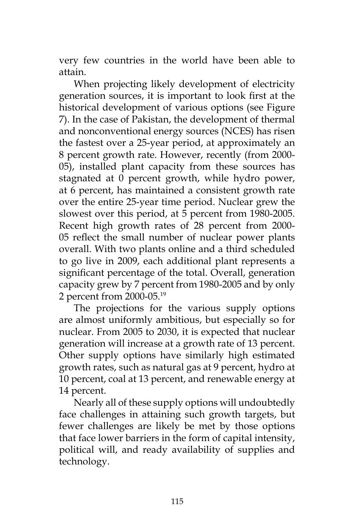very few countries in the world have been able to attain.

When projecting likely development of electricity generation sources, it is important to look first at the historical development of various options (see Figure 7). In the case of Pakistan, the development of thermal and nonconventional energy sources (NCES) has risen the fastest over a 25-year period, at approximately an 8 percent growth rate. However, recently (from 2000- 05), installed plant capacity from these sources has stagnated at 0 percent growth, while hydro power, at 6 percent, has maintained a consistent growth rate over the entire 25-year time period. Nuclear grew the slowest over this period, at 5 percent from 1980-2005. Recent high growth rates of 28 percent from 2000- 05 reflect the small number of nuclear power plants overall. With two plants online and a third scheduled to go live in 2009, each additional plant represents a significant percentage of the total. Overall, generation capacity grew by 7 percent from 1980-2005 and by only 2 percent from 2000-05.19

The projections for the various supply options are almost uniformly ambitious, but especially so for nuclear. From 2005 to 2030, it is expected that nuclear generation will increase at a growth rate of 13 percent. Other supply options have similarly high estimated growth rates, such as natural gas at 9 percent, hydro at 10 percent, coal at 13 percent, and renewable energy at 14 percent.

Nearly all of these supply options will undoubtedly face challenges in attaining such growth targets, but fewer challenges are likely be met by those options that face lower barriers in the form of capital intensity, political will, and ready availability of supplies and technology.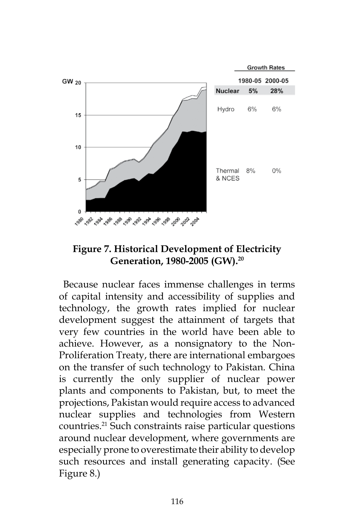

# **Figure 7. Historical Development of Electricity Generation, 1980-2005 (GW).20**

 Because nuclear faces immense challenges in terms of capital intensity and accessibility of supplies and technology, the growth rates implied for nuclear development suggest the attainment of targets that very few countries in the world have been able to achieve. However, as a nonsignatory to the Non-Proliferation Treaty, there are international embargoes on the transfer of such technology to Pakistan. China is currently the only supplier of nuclear power plants and components to Pakistan, but, to meet the projections, Pakistan would require access to advanced nuclear supplies and technologies from Western countries.<sup>21</sup> Such constraints raise particular questions around nuclear development, where governments are especially prone to overestimate their ability to develop such resources and install generating capacity. (See Figure 8.)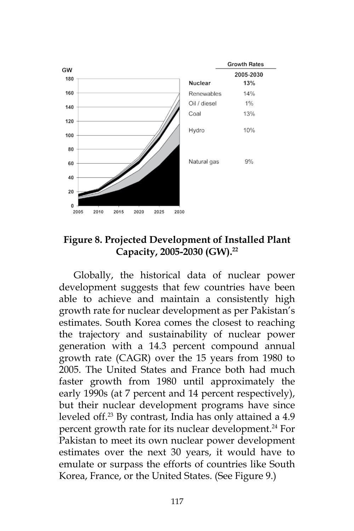

**Figure 8. Projected Development of Installed Plant Capacity, 2005-2030 (GW).22**

Globally, the historical data of nuclear power development suggests that few countries have been able to achieve and maintain a consistently high growth rate for nuclear development as per Pakistan's estimates. South Korea comes the closest to reaching the trajectory and sustainability of nuclear power generation with a 14.3 percent compound annual growth rate (CAGR) over the 15 years from 1980 to 2005. The United States and France both had much faster growth from 1980 until approximately the early 1990s (at 7 percent and 14 percent respectively), but their nuclear development programs have since leveled off.23 By contrast, India has only attained a 4.9 percent growth rate for its nuclear development.<sup>24</sup> For Pakistan to meet its own nuclear power development estimates over the next 30 years, it would have to emulate or surpass the efforts of countries like South Korea, France, or the United States. (See Figure 9.)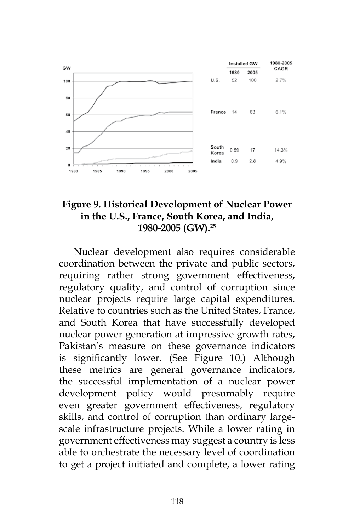

## **Figure 9. Historical Development of Nuclear Power in the U.S., France, South Korea, and India, 1980-2005 (GW).25**

Nuclear development also requires considerable coordination between the private and public sectors, requiring rather strong government effectiveness, regulatory quality, and control of corruption since nuclear projects require large capital expenditures. Relative to countries such as the United States, France, and South Korea that have successfully developed nuclear power generation at impressive growth rates, Pakistan's measure on these governance indicators is significantly lower. (See Figure 10.) Although these metrics are general governance indicators, the successful implementation of a nuclear power development policy would presumably require even greater government effectiveness, regulatory skills, and control of corruption than ordinary largescale infrastructure projects. While a lower rating in government effectiveness may suggest a country is less able to orchestrate the necessary level of coordination to get a project initiated and complete, a lower rating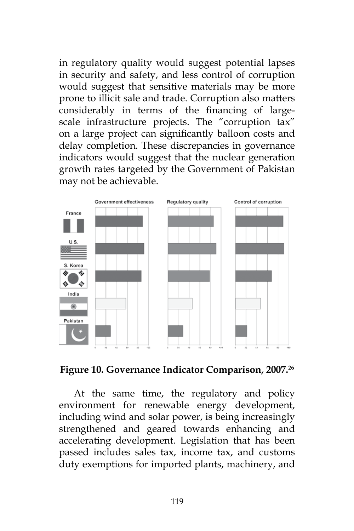in regulatory quality would suggest potential lapses in security and safety, and less control of corruption would suggest that sensitive materials may be more prone to illicit sale and trade. Corruption also matters considerably in terms of the financing of largescale infrastructure projects. The "corruption tax" on a large project can significantly balloon costs and delay completion. These discrepancies in governance indicators would suggest that the nuclear generation growth rates targeted by the Government of Pakistan may not be achievable.





At the same time, the regulatory and policy environment for renewable energy development, including wind and solar power, is being increasingly strengthened and geared towards enhancing and accelerating development. Legislation that has been passed includes sales tax, income tax, and customs duty exemptions for imported plants, machinery, and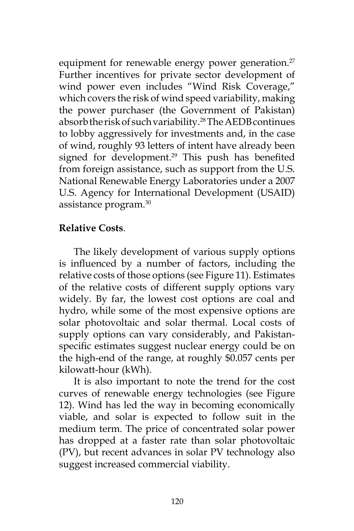equipment for renewable energy power generation. $27$ Further incentives for private sector development of wind power even includes "Wind Risk Coverage," which covers the risk of wind speed variability, making the power purchaser (the Government of Pakistan) absorb the risk of such variability.28 The AEDB continues to lobby aggressively for investments and, in the case of wind, roughly 93 letters of intent have already been signed for development.<sup>29</sup> This push has benefited from foreign assistance, such as support from the U.S. National Renewable Energy Laboratories under a 2007 U.S. Agency for International Development (USAID) assistance program.30

## **Relative Costs**.

The likely development of various supply options is influenced by a number of factors, including the relative costs of those options (see Figure 11). Estimates of the relative costs of different supply options vary widely. By far, the lowest cost options are coal and hydro, while some of the most expensive options are solar photovoltaic and solar thermal. Local costs of supply options can vary considerably, and Pakistanspecific estimates suggest nuclear energy could be on the high-end of the range, at roughly \$0.057 cents per kilowatt-hour (kWh).

It is also important to note the trend for the cost curves of renewable energy technologies (see Figure 12). Wind has led the way in becoming economically viable, and solar is expected to follow suit in the medium term. The price of concentrated solar power has dropped at a faster rate than solar photovoltaic (PV), but recent advances in solar PV technology also suggest increased commercial viability.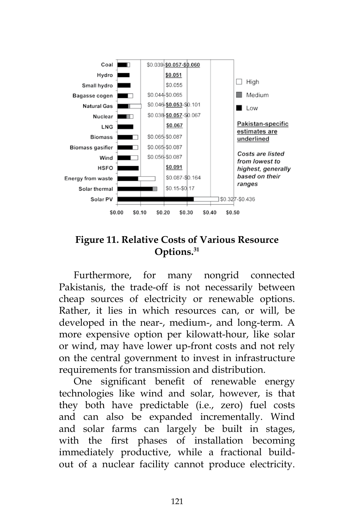

## **Figure 11. Relative Costs of Various Resource Options.31**

Furthermore, for many nongrid connected Pakistanis, the trade-off is not necessarily between cheap sources of electricity or renewable options. Rather, it lies in which resources can, or will, be developed in the near-, medium-, and long-term. A more expensive option per kilowatt-hour, like solar or wind, may have lower up-front costs and not rely on the central government to invest in infrastructure requirements for transmission and distribution.

One significant benefit of renewable energy technologies like wind and solar, however, is that they both have predictable (i.e., zero) fuel costs and can also be expanded incrementally. Wind and solar farms can largely be built in stages, with the first phases of installation becoming immediately productive, while a fractional buildout of a nuclear facility cannot produce electricity.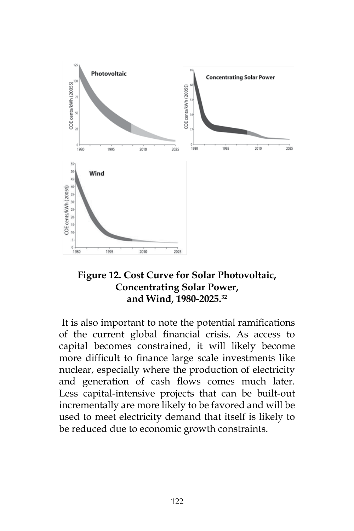

## **Figure 12. Cost Curve for Solar Photovoltaic, Concentrating Solar Power, and Wind, 1980-2025.32**

 It is also important to note the potential ramifications of the current global financial crisis. As access to capital becomes constrained, it will likely become more difficult to finance large scale investments like nuclear, especially where the production of electricity and generation of cash flows comes much later. Less capital-intensive projects that can be built-out incrementally are more likely to be favored and will be used to meet electricity demand that itself is likely to be reduced due to economic growth constraints.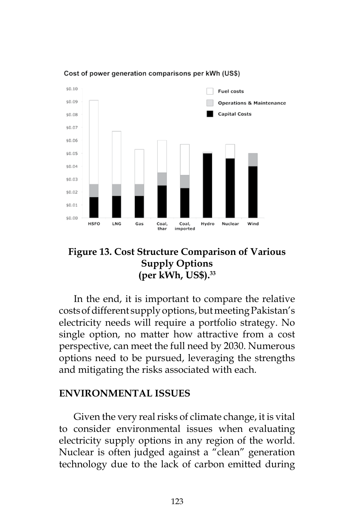

Cost of power generation comparisons per kWh (US\$)

## **Figure 13. Cost Structure Comparison of Various Supply Options (per kWh, US\$).33**

In the end, it is important to compare the relative costs of different supply options, but meeting Pakistan's electricity needs will require a portfolio strategy. No single option, no matter how attractive from a cost perspective, can meet the full need by 2030. Numerous options need to be pursued, leveraging the strengths and mitigating the risks associated with each.

#### **ENVIRONMENTAL ISSUES**

Given the very real risks of climate change, it is vital to consider environmental issues when evaluating electricity supply options in any region of the world. Nuclear is often judged against a "clean" generation technology due to the lack of carbon emitted during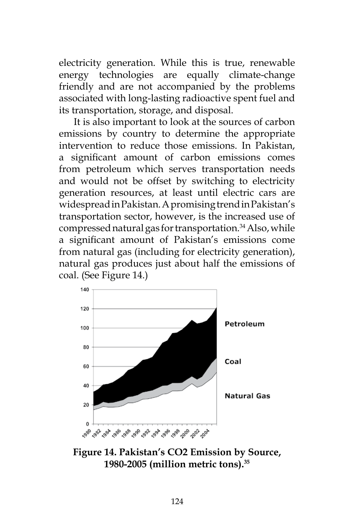electricity generation. While this is true, renewable energy technologies are equally climate-change friendly and are not accompanied by the problems associated with long-lasting radioactive spent fuel and its transportation, storage, and disposal.

It is also important to look at the sources of carbon emissions by country to determine the appropriate intervention to reduce those emissions. In Pakistan, a significant amount of carbon emissions comes from petroleum which serves transportation needs and would not be offset by switching to electricity generation resources, at least until electric cars are widespread in Pakistan. A promising trend in Pakistan's transportation sector, however, is the increased use of compressed natural gas for transportation.<sup>34</sup> Also, while a significant amount of Pakistan's emissions come from natural gas (including for electricity generation), natural gas produces just about half the emissions of coal. (See Figure 14.)



**Figure 14. Pakistan's CO2 Emission by Source, 1980-2005 (million metric tons).35**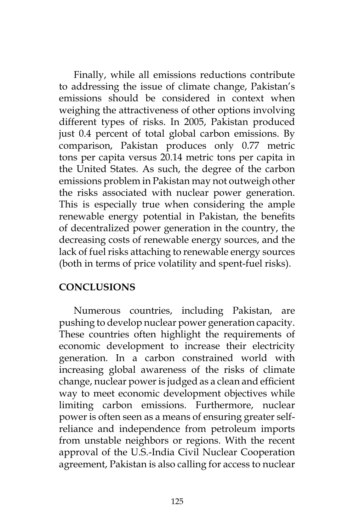Finally, while all emissions reductions contribute to addressing the issue of climate change, Pakistan's emissions should be considered in context when weighing the attractiveness of other options involving different types of risks. In 2005, Pakistan produced just 0.4 percent of total global carbon emissions. By comparison, Pakistan produces only 0.77 metric tons per capita versus 20.14 metric tons per capita in the United States. As such, the degree of the carbon emissions problem in Pakistan may not outweigh other the risks associated with nuclear power generation. This is especially true when considering the ample renewable energy potential in Pakistan, the benefits of decentralized power generation in the country, the decreasing costs of renewable energy sources, and the lack of fuel risks attaching to renewable energy sources (both in terms of price volatility and spent-fuel risks).

## **CONCLUSIONS**

Numerous countries, including Pakistan, are pushing to develop nuclear power generation capacity. These countries often highlight the requirements of economic development to increase their electricity generation. In a carbon constrained world with increasing global awareness of the risks of climate change, nuclear power is judged as a clean and efficient way to meet economic development objectives while limiting carbon emissions. Furthermore, nuclear power is often seen as a means of ensuring greater selfreliance and independence from petroleum imports from unstable neighbors or regions. With the recent approval of the U.S.-India Civil Nuclear Cooperation agreement, Pakistan is also calling for access to nuclear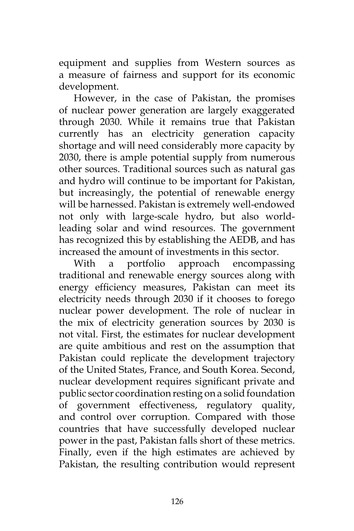equipment and supplies from Western sources as a measure of fairness and support for its economic development.

However, in the case of Pakistan, the promises of nuclear power generation are largely exaggerated through 2030. While it remains true that Pakistan currently has an electricity generation capacity shortage and will need considerably more capacity by 2030, there is ample potential supply from numerous other sources. Traditional sources such as natural gas and hydro will continue to be important for Pakistan, but increasingly, the potential of renewable energy will be harnessed. Pakistan is extremely well-endowed not only with large-scale hydro, but also worldleading solar and wind resources. The government has recognized this by establishing the AEDB, and has increased the amount of investments in this sector.

With a portfolio approach encompassing traditional and renewable energy sources along with energy efficiency measures, Pakistan can meet its electricity needs through 2030 if it chooses to forego nuclear power development. The role of nuclear in the mix of electricity generation sources by 2030 is not vital. First, the estimates for nuclear development are quite ambitious and rest on the assumption that Pakistan could replicate the development trajectory of the United States, France, and South Korea. Second, nuclear development requires significant private and public sector coordination resting on a solid foundation of government effectiveness, regulatory quality, and control over corruption. Compared with those countries that have successfully developed nuclear power in the past, Pakistan falls short of these metrics. Finally, even if the high estimates are achieved by Pakistan, the resulting contribution would represent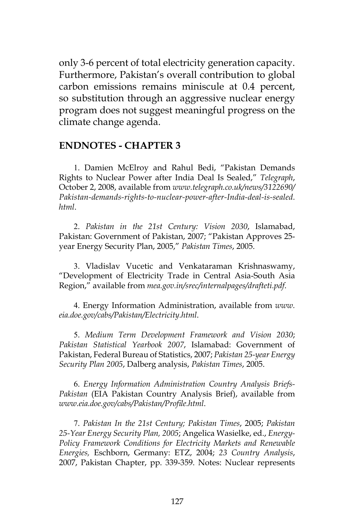only 3-6 percent of total electricity generation capacity. Furthermore, Pakistan's overall contribution to global carbon emissions remains miniscule at 0.4 percent, so substitution through an aggressive nuclear energy program does not suggest meaningful progress on the climate change agenda.

#### **ENDNOTES - CHAPTER 3**

 1. Damien McElroy and Rahul Bedi, "Pakistan Demands Rights to Nuclear Power after India Deal Is Sealed," *Telegraph*, October 2, 2008, available from *www.telegraph.co.uk/news/3122690/ Pakistan-demands-rights-to-nuclear-power-after-India-deal-is-sealed. html*.

 2. *Pakistan in the 21st Century: Vision 2030*, Islamabad, Pakistan: Government of Pakistan, 2007; "Pakistan Approves 25 year Energy Security Plan, 2005," *Pakistan Times*, 2005.

 3. Vladislav Vucetic and Venkataraman Krishnaswamy, "Development of Electricity Trade in Central Asia-South Asia Region," available from *mea.gov.in/srec/internalpages/drafteti.pdf*.

 4. Energy Information Administration, available from *www. eia.doe.gov/cabs/Pakistan/Electricity.html*.

 5. *Medium Term Development Framework and Vision 2030*; *Pakistan Statistical Yearbook 2007*, Islamabad: Government of Pakistan, Federal Bureau of Statistics, 2007; *Pakistan 25-year Energy Security Plan 2005*, Dalberg analysis, *Pakistan Times*, 2005.

 6. *Energy Information Administration Country Analysis Briefs-Pakistan* (EIA Pakistan Country Analysis Brief), available from *www.eia.doe.gov/cabs/Pakistan/Profile.html*.

 7. *Pakistan In the 21st Century; Pakistan Times*, 2005; *Pakistan 25-Year Energy Security Plan, 2005*; Angelica Wasielke, ed., *Energy-Policy Framework Conditions for Electricity Markets and Renewable Energies,* Eschborn, Germany: ETZ, 2004; *23 Country Analysis*, 2007, Pakistan Chapter, pp. 339-359. Notes: Nuclear represents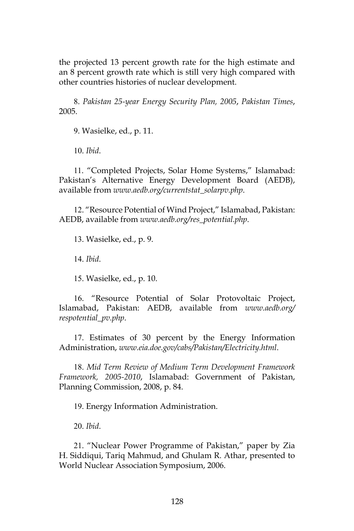the projected 13 percent growth rate for the high estimate and an 8 percent growth rate which is still very high compared with other countries histories of nuclear development.

 8. *Pakistan 25-year Energy Security Plan, 2005*, *Pakistan Times*, 2005.

 9. Wasielke, ed., p. 11.

 10. *Ibid*.

 11. "Completed Projects, Solar Home Systems," Islamabad: Pakistan's Alternative Energy Development Board (AEDB), available from *www.aedb.org/currentstat\_solarpv.php*.

 12. "Resource Potential of Wind Project," Islamabad, Pakistan: AEDB, available from *www.aedb.org/res\_potential.php*.

 13. Wasielke, ed., p. 9.

 14. *Ibid*.

 15. Wasielke, ed., p. 10.

 16. "Resource Potential of Solar Protovoltaic Project, Islamabad, Pakistan: AEDB, available from *www.aedb.org/ respotential\_pv.php*.

 17. Estimates of 30 percent by the Energy Information Administration, *www.eia.doe.gov/cabs/Pakistan/Electricity.html*.

 18. *Mid Term Review of Medium Term Development Framework Framework, 2005-2010*, Islamabad: Government of Pakistan, Planning Commission, 2008, p. 84.

 19. Energy Information Administration.

 20. *Ibid*.

 21. "Nuclear Power Programme of Pakistan," paper by Zia H. Siddiqui, Tariq Mahmud, and Ghulam R. Athar, presented to World Nuclear Association Symposium, 2006.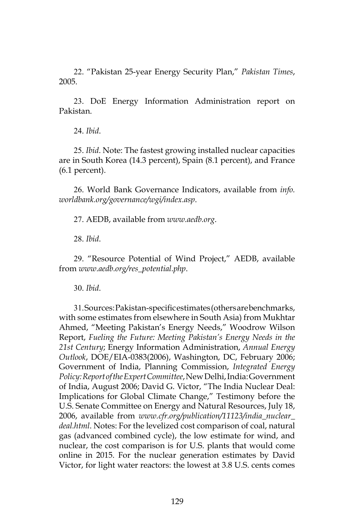22. "Pakistan 25-year Energy Security Plan," *Pakistan Times*, 2005.

 23. DoE Energy Information Administration report on Pakistan.

 24. *Ibid*.

 25. *Ibid*. Note: The fastest growing installed nuclear capacities are in South Korea (14.3 percent), Spain (8.1 percent), and France (6.1 percent).

 26. World Bank Governance Indicators, available from *info. worldbank.org/governance/wgi/index.asp*.

 27. AEDB, available from *www.aedb.org*.

 28. *Ibid*.

 29. "Resource Potential of Wind Project," AEDB, available from *www.aedb.org/res\_potential.php*.

 30. *Ibid*.

 31. Sources: Pakistan-specific estimates (others are benchmarks, with some estimates from elsewhere in South Asia) from Mukhtar Ahmed, "Meeting Pakistan's Energy Needs," Woodrow Wilson Report, *Fueling the Future: Meeting Pakistan's Energy Needs in the 21st Century*; Energy Information Administration, *Annual Energy Outlook*, DOE/EIA-0383(2006), Washington, DC, February 2006; Government of India, Planning Commission, *Integrated Energy Policy: Report of the Expert Committee*, New Delhi, India: Government of India, August 2006; David G. Victor, "The India Nuclear Deal: Implications for Global Climate Change," Testimony before the U.S. Senate Committee on Energy and Natural Resources, July 18, 2006, available from *www.cfr.org/publication/11123/india\_nuclear\_ deal.html*. Notes: For the levelized cost comparison of coal, natural gas (advanced combined cycle), the low estimate for wind, and nuclear, the cost comparison is for U.S. plants that would come online in 2015. For the nuclear generation estimates by David Victor, for light water reactors: the lowest at 3.8 U.S. cents comes